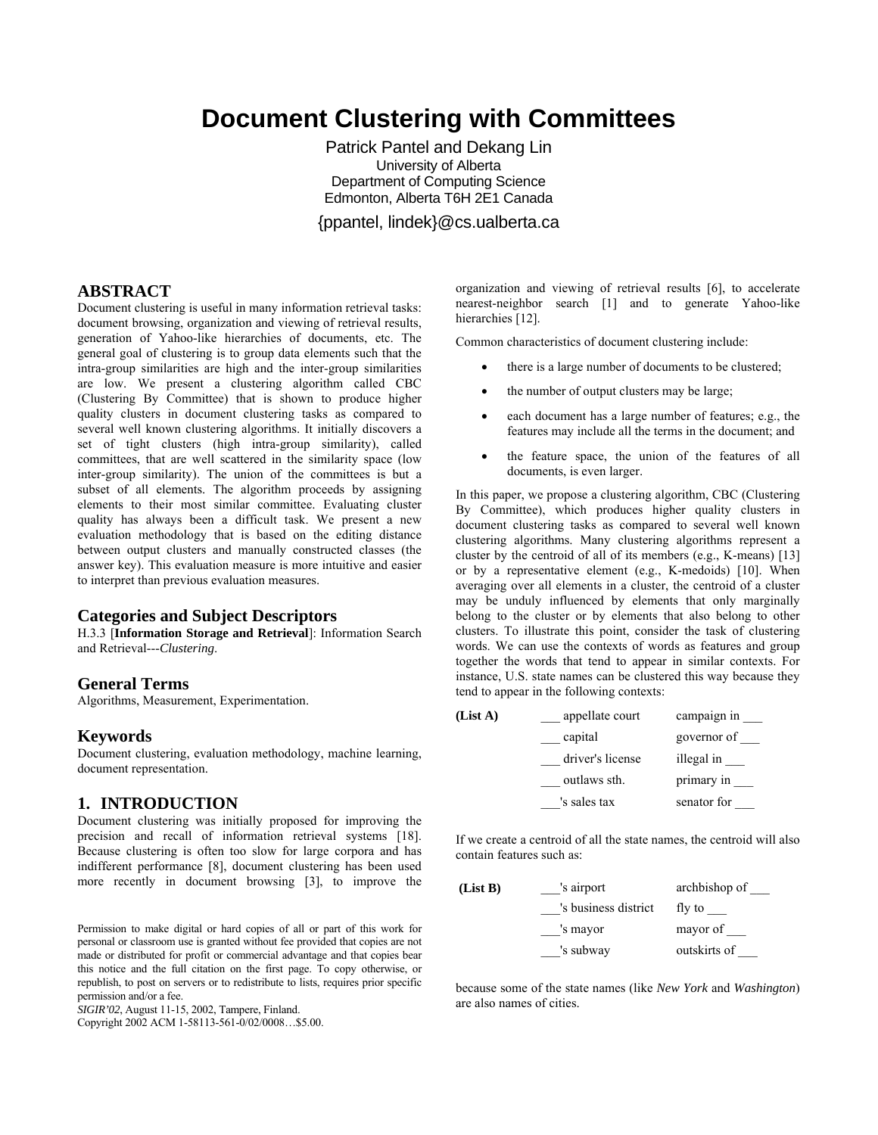# **Document Clustering with Committees**

Patrick Pantel and Dekang Lin University of Alberta Department of Computing Science Edmonton, Alberta T6H 2E1 Canada

{ppantel, lindek}@cs.ualberta.ca

# **ABSTRACT**

Document clustering is useful in many information retrieval tasks: document browsing, organization and viewing of retrieval results, generation of Yahoo-like hierarchies of documents, etc. The general goal of clustering is to group data elements such that the intra-group similarities are high and the inter-group similarities are low. We present a clustering algorithm called CBC (Clustering By Committee) that is shown to produce higher quality clusters in document clustering tasks as compared to several well known clustering algorithms. It initially discovers a set of tight clusters (high intra-group similarity), called committees, that are well scattered in the similarity space (low inter-group similarity). The union of the committees is but a subset of all elements. The algorithm proceeds by assigning elements to their most similar committee. Evaluating cluster quality has always been a difficult task. We present a new evaluation methodology that is based on the editing distance between output clusters and manually constructed classes (the answer key). This evaluation measure is more intuitive and easier to interpret than previous evaluation measures.

# **Categories and Subject Descriptors**

H.3.3 [**Information Storage and Retrieval**]: Information Search and Retrieval---*Clustering*.

## **General Terms**

Algorithms, Measurement, Experimentation.

## **Keywords**

Document clustering, evaluation methodology, machine learning, document representation.

# **1. INTRODUCTION**

Document clustering was initially proposed for improving the precision and recall of information retrieval systems [18]. Because clustering is often too slow for large corpora and has indifferent performance [8], document clustering has been used more recently in document browsing [3], to improve the

Permission to make digital or hard copies of all or part of this work for personal or classroom use is granted without fee provided that copies are not made or distributed for profit or commercial advantage and that copies bear this notice and the full citation on the first page. To copy otherwise, or republish, to post on servers or to redistribute to lists, requires prior specific permission and/or a fee.

*SIGIR'02*, August 11-15, 2002, Tampere, Finland.

Copyright 2002 ACM 1-58113-561-0/02/0008...\$5.00.

organization and viewing of retrieval results [6], to accelerate nearest-neighbor search [1] and to generate Yahoo-like hierarchies [12].

Common characteristics of document clustering include:

- there is a large number of documents to be clustered;
- the number of output clusters may be large;
- each document has a large number of features; e.g., the features may include all the terms in the document; and
- the feature space, the union of the features of all documents, is even larger.

In this paper, we propose a clustering algorithm, CBC (Clustering By Committee), which produces higher quality clusters in document clustering tasks as compared to several well known clustering algorithms. Many clustering algorithms represent a cluster by the centroid of all of its members (e.g., K-means) [13] or by a representative element (e.g., K-medoids) [10]. When averaging over all elements in a cluster, the centroid of a cluster may be unduly influenced by elements that only marginally belong to the cluster or by elements that also belong to other clusters. To illustrate this point, consider the task of clustering words. We can use the contexts of words as features and group together the words that tend to appear in similar contexts. For instance, U.S. state names can be clustered this way because they tend to appear in the following contexts:

| (List A) | appellate court  | campaign in |
|----------|------------------|-------------|
|          | capital          | governor of |
|          | driver's license | illegal in  |
|          | outlaws sth.     | primary in  |
|          | 's sales tax     | senator for |

If we create a centroid of all the state names, the centroid will also contain features such as:

| (List B) | 's airport           | archbishop of |
|----------|----------------------|---------------|
|          | 's business district | fly to        |
|          | 's mayor             | mayor of      |
|          | 's subway            | outskirts of  |

because some of the state names (like *New York* and *Washington*) are also names of cities.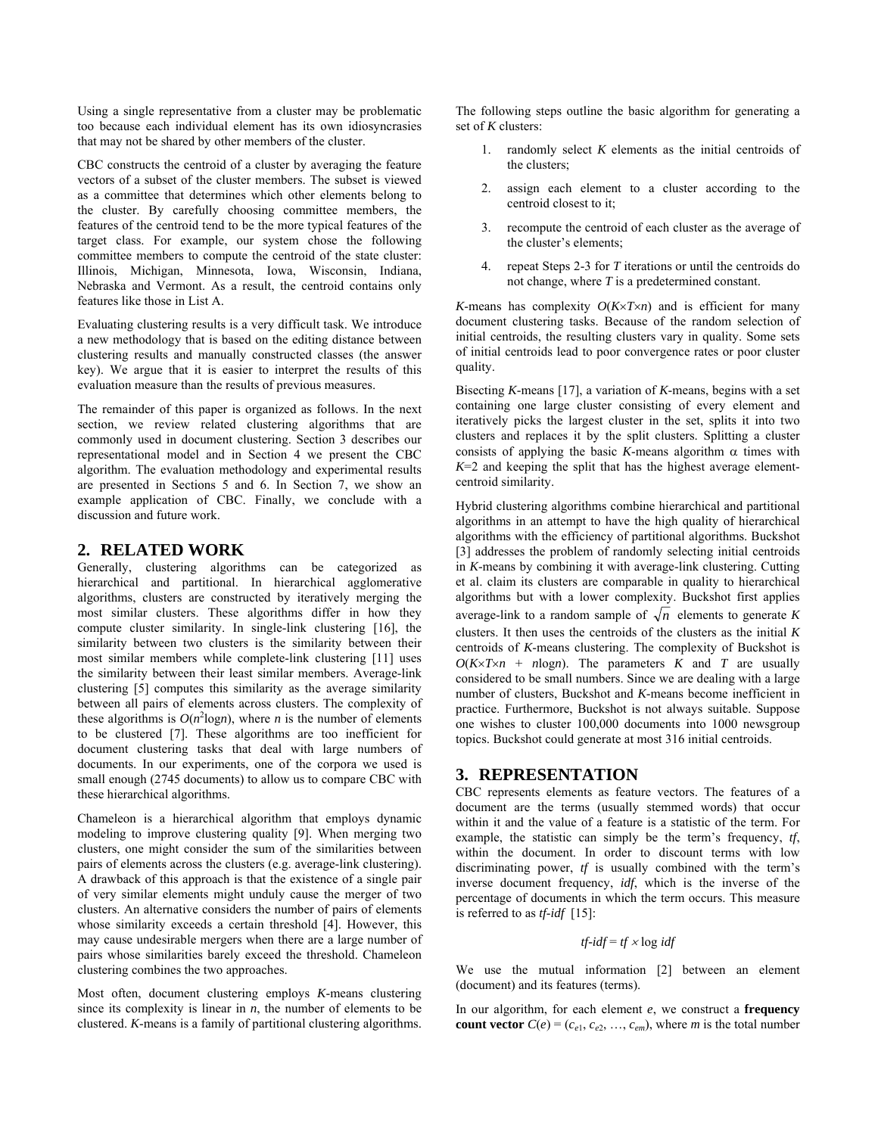Using a single representative from a cluster may be problematic too because each individual element has its own idiosyncrasies that may not be shared by other members of the cluster.

CBC constructs the centroid of a cluster by averaging the feature vectors of a subset of the cluster members. The subset is viewed as a committee that determines which other elements belong to the cluster. By carefully choosing committee members, the features of the centroid tend to be the more typical features of the target class. For example, our system chose the following committee members to compute the centroid of the state cluster: Illinois, Michigan, Minnesota, Iowa, Wisconsin, Indiana, Nebraska and Vermont. As a result, the centroid contains only features like those in List A.

Evaluating clustering results is a very difficult task. We introduce a new methodology that is based on the editing distance between clustering results and manually constructed classes (the answer key). We argue that it is easier to interpret the results of this evaluation measure than the results of previous measures.

The remainder of this paper is organized as follows. In the next section, we review related clustering algorithms that are commonly used in document clustering. Section 3 describes our representational model and in Section 4 we present the CBC algorithm. The evaluation methodology and experimental results are presented in Sections 5 and 6. In Section 7, we show an example application of CBC. Finally, we conclude with a discussion and future work.

# **2. RELATED WORK**

Generally, clustering algorithms can be categorized as hierarchical and partitional. In hierarchical agglomerative algorithms, clusters are constructed by iteratively merging the most similar clusters. These algorithms differ in how they compute cluster similarity. In single-link clustering [16], the similarity between two clusters is the similarity between their most similar members while complete-link clustering [11] uses the similarity between their least similar members. Average-link clustering [5] computes this similarity as the average similarity between all pairs of elements across clusters. The complexity of these algorithms is  $O(n^2 \log n)$ , where *n* is the number of elements to be clustered [7]. These algorithms are too inefficient for document clustering tasks that deal with large numbers of documents. In our experiments, one of the corpora we used is small enough (2745 documents) to allow us to compare CBC with these hierarchical algorithms.

Chameleon is a hierarchical algorithm that employs dynamic modeling to improve clustering quality [9]. When merging two clusters, one might consider the sum of the similarities between pairs of elements across the clusters (e.g. average-link clustering). A drawback of this approach is that the existence of a single pair of very similar elements might unduly cause the merger of two clusters. An alternative considers the number of pairs of elements whose similarity exceeds a certain threshold [4]. However, this may cause undesirable mergers when there are a large number of pairs whose similarities barely exceed the threshold. Chameleon clustering combines the two approaches.

Most often, document clustering employs *K*-means clustering since its complexity is linear in  $n$ , the number of elements to be clustered. *K*-means is a family of partitional clustering algorithms.

The following steps outline the basic algorithm for generating a set of *K* clusters:

- 1. randomly select *K* elements as the initial centroids of the clusters;
- 2. assign each element to a cluster according to the centroid closest to it;
- 3. recompute the centroid of each cluster as the average of the cluster's elements:
- 4. repeat Steps 2-3 for *T* iterations or until the centroids do not change, where *T* is a predetermined constant.

*K*-means has complexity  $O(K \times T \times n)$  and is efficient for many document clustering tasks. Because of the random selection of initial centroids, the resulting clusters vary in quality. Some sets of initial centroids lead to poor convergence rates or poor cluster quality.

Bisecting *K*-means [17], a variation of *K*-means, begins with a set containing one large cluster consisting of every element and iteratively picks the largest cluster in the set, splits it into two clusters and replaces it by the split clusters. Splitting a cluster consists of applying the basic *K*-means algorithm  $\alpha$  times with  $K=2$  and keeping the split that has the highest average elementcentroid similarity.

Hybrid clustering algorithms combine hierarchical and partitional algorithms in an attempt to have the high quality of hierarchical algorithms with the efficiency of partitional algorithms. Buckshot [3] addresses the problem of randomly selecting initial centroids in *K*-means by combining it with average-link clustering. Cutting et al. claim its clusters are comparable in quality to hierarchical algorithms but with a lower complexity. Buckshot first applies average-link to a random sample of  $\sqrt{n}$  elements to generate *K* clusters. It then uses the centroids of the clusters as the initial *K* centroids of *K*-means clustering. The complexity of Buckshot is  $O(K \times T \times n + n \log n)$ . The parameters *K* and *T* are usually considered to be small numbers. Since we are dealing with a large number of clusters, Buckshot and *K*-means become inefficient in practice. Furthermore, Buckshot is not always suitable. Suppose one wishes to cluster 100,000 documents into 1000 newsgroup topics. Buckshot could generate at most 316 initial centroids.

# **3. REPRESENTATION**

CBC represents elements as feature vectors. The features of a document are the terms (usually stemmed words) that occur within it and the value of a feature is a statistic of the term. For example, the statistic can simply be the term's frequency,  $tf$ , within the document. In order to discount terms with low discriminating power,  $tf$  is usually combined with the term's inverse document frequency, *idf*, which is the inverse of the percentage of documents in which the term occurs. This measure is referred to as *tf*-*idf* [15]:

$$
tf - idf = tf \times \log idf
$$

We use the mutual information [2] between an element (document) and its features (terms).

In our algorithm, for each element *e*, we construct a **frequency count vector**  $C(e) = (c_{e1}, c_{e2}, \ldots, c_{em})$ , where *m* is the total number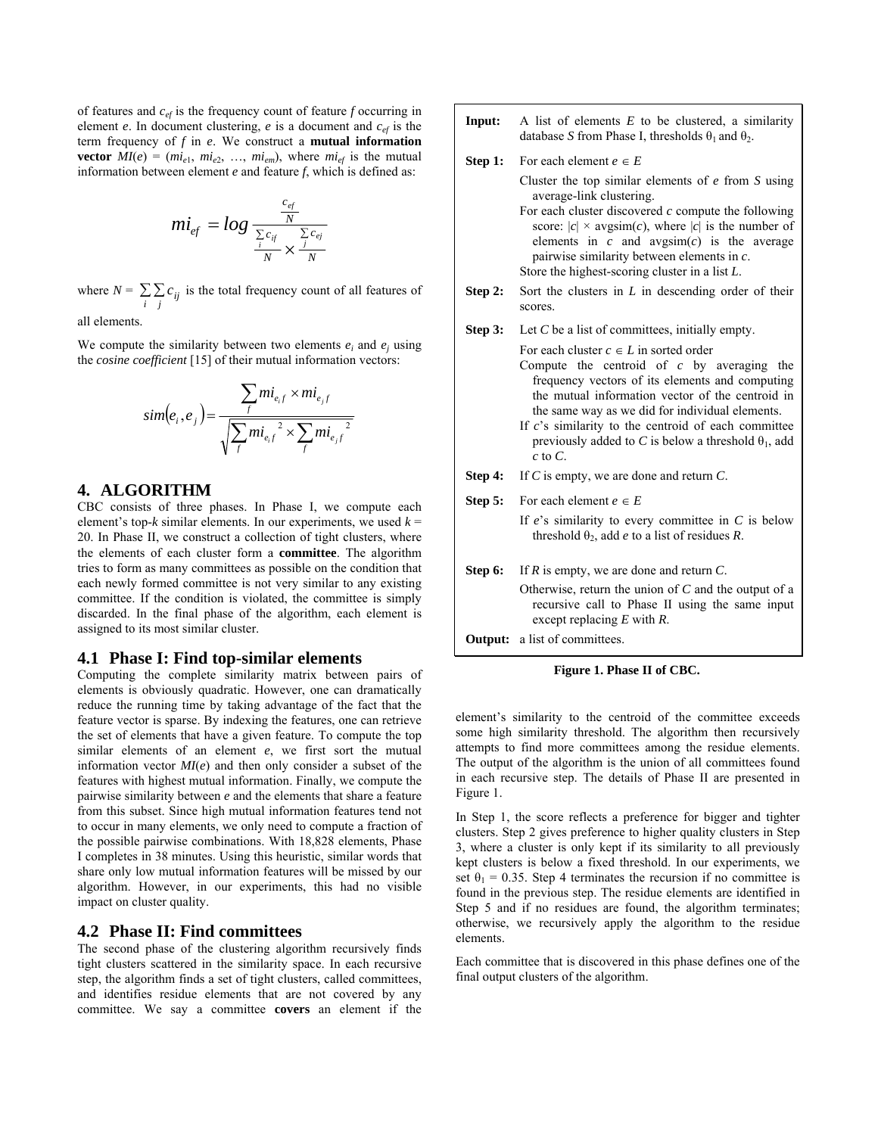of features and *cef* is the frequency count of feature *f* occurring in element *e*. In document clustering, *e* is a document and *cef* is the term frequency of *f* in *e*. We construct a **mutual information vector**  $MI(e) = (mi_{e1}, mi_{e2}, ..., mi_{em})$ , where  $mi_{ef}$  is the mutual information between element *e* and feature *f*, which is defined as:

$$
mi_{ef} = log \frac{\frac{c_{ef}}{N}}{\frac{\sum c_{if}}{N} \times \frac{\sum c_{ef}}{N}}
$$

where  $N = \sum_{i} \sum_{j} c_{ij}$  is the total frequency count of all features of

all elements

We compute the similarity between two elements  $e_i$  and  $e_j$  using the *cosine coefficient* [15] of their mutual information vectors:

$$
sim(e_i, e_j) = \frac{\sum_{f} m i_{e,f} \times m i_{e,f}}{\sqrt{\sum_{f} m i_{e,f}^2 \times \sum_{f} m i_{e,f}^2}}
$$

# **4. ALGORITHM**

CBC consists of three phases. In Phase I, we compute each element's top- $k$  similar elements. In our experiments, we used  $k =$ 20. In Phase II, we construct a collection of tight clusters, where the elements of each cluster form a **committee**. The algorithm tries to form as many committees as possible on the condition that each newly formed committee is not very similar to any existing committee. If the condition is violated, the committee is simply discarded. In the final phase of the algorithm, each element is assigned to its most similar cluster.

#### **4.1 Phase I: Find top-similar elements**

Computing the complete similarity matrix between pairs of elements is obviously quadratic. However, one can dramatically reduce the running time by taking advantage of the fact that the feature vector is sparse. By indexing the features, one can retrieve the set of elements that have a given feature. To compute the top similar elements of an element *e*, we first sort the mutual information vector *MI*(*e*) and then only consider a subset of the features with highest mutual information. Finally, we compute the pairwise similarity between *e* and the elements that share a feature from this subset. Since high mutual information features tend not to occur in many elements, we only need to compute a fraction of the possible pairwise combinations. With 18,828 elements, Phase I completes in 38 minutes. Using this heuristic, similar words that share only low mutual information features will be missed by our algorithm. However, in our experiments, this had no visible impact on cluster quality.

#### **4.2 Phase II: Find committees**

The second phase of the clustering algorithm recursively finds tight clusters scattered in the similarity space. In each recursive step, the algorithm finds a set of tight clusters, called committees, and identifies residue elements that are not covered by any committee. We say a committee **covers** an element if the

- **Input:** A list of elements *E* to be clustered, a similarity database *S* from Phase I, thresholds  $\theta_1$  and  $\theta_2$ .
- **Step 1:** For each element  $e \in E$

 Cluster the top similar elements of *e* from *S* using average-link clustering.

 For each cluster discovered *c* compute the following score:  $|c| \times \text{avgsim}(c)$ , where  $|c|$  is the number of elements in  $c$  and  $\frac{\text{avgsim}(c)}{\text{cos}(c)}$  is the average pairwise similarity between elements in *c*. Store the highest-scoring cluster in a list *L*.

- **Step 2:** Sort the clusters in *L* in descending order of their scores.
- **Step 3:** Let *C* be a list of committees, initially empty.

For each cluster  $c \in L$  in sorted order

- Compute the centroid of *c* by averaging the frequency vectors of its elements and computing the mutual information vector of the centroid in the same way as we did for individual elements.
- If *c*'s similarity to the centroid of each committee previously added to *C* is below a threshold  $\theta_1$ , add *c* to *C*.
- **Step 4:** If *C* is empty, we are done and return *C*.
- **Step 5:** For each element  $e \in E$ 
	- If  $e$ 's similarity to every committee in  $C$  is below threshold  $\theta_2$ , add *e* to a list of residues *R*.
- **Step 6:** If *R* is empty, we are done and return *C*. Otherwise, return the union of *C* and the output of a recursive call to Phase II using the same input except replacing *E* with *R*.
- **Output:** a list of committees.

**Figure 1. Phase II of CBC.** 

element's similarity to the centroid of the committee exceeds some high similarity threshold. The algorithm then recursively attempts to find more committees among the residue elements. The output of the algorithm is the union of all committees found in each recursive step. The details of Phase II are presented in Figure 1.

In Step 1, the score reflects a preference for bigger and tighter clusters. Step 2 gives preference to higher quality clusters in Step 3, where a cluster is only kept if its similarity to all previously kept clusters is below a fixed threshold. In our experiments, we set  $\theta_1 = 0.35$ . Step 4 terminates the recursion if no committee is found in the previous step. The residue elements are identified in Step 5 and if no residues are found, the algorithm terminates; otherwise, we recursively apply the algorithm to the residue elements.

Each committee that is discovered in this phase defines one of the final output clusters of the algorithm.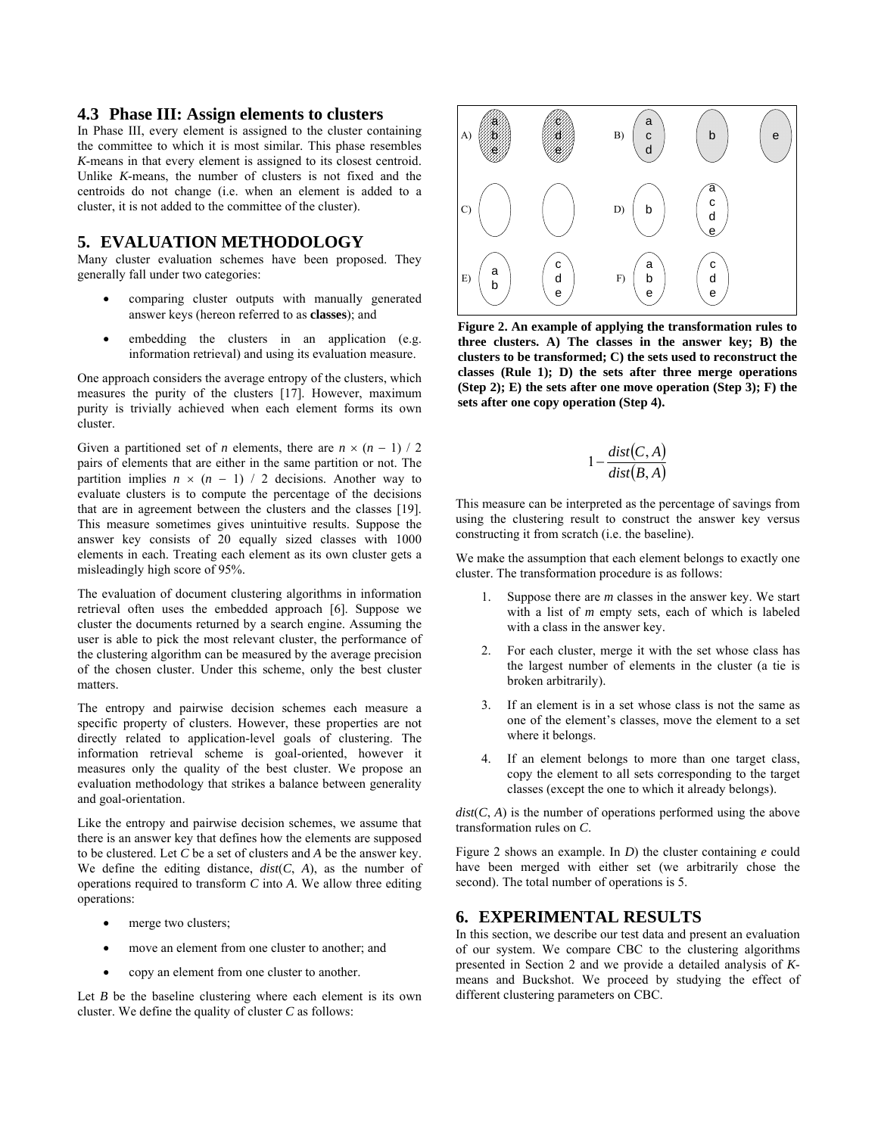# **4.3 Phase III: Assign elements to clusters**

In Phase III, every element is assigned to the cluster containing the committee to which it is most similar. This phase resembles *K*-means in that every element is assigned to its closest centroid. Unlike *K*-means, the number of clusters is not fixed and the centroids do not change (i.e. when an element is added to a cluster, it is not added to the committee of the cluster).

# **5. EVALUATION METHODOLOGY**

Many cluster evaluation schemes have been proposed. They generally fall under two categories:

- comparing cluster outputs with manually generated answer keys (hereon referred to as **classes**); and
- embedding the clusters in an application (e.g. information retrieval) and using its evaluation measure.

One approach considers the average entropy of the clusters, which measures the purity of the clusters [17]. However, maximum purity is trivially achieved when each element forms its own cluster.

Given a partitioned set of *n* elements, there are  $n \times (n - 1) / 2$ pairs of elements that are either in the same partition or not. The partition implies  $n \times (n - 1) / 2$  decisions. Another way to evaluate clusters is to compute the percentage of the decisions that are in agreement between the clusters and the classes [19]. This measure sometimes gives unintuitive results. Suppose the answer key consists of 20 equally sized classes with 1000 elements in each. Treating each element as its own cluster gets a misleadingly high score of 95%.

The evaluation of document clustering algorithms in information retrieval often uses the embedded approach [6]. Suppose we cluster the documents returned by a search engine. Assuming the user is able to pick the most relevant cluster, the performance of the clustering algorithm can be measured by the average precision of the chosen cluster. Under this scheme, only the best cluster matters.

The entropy and pairwise decision schemes each measure a specific property of clusters. However, these properties are not directly related to application-level goals of clustering. The information retrieval scheme is goal-oriented, however it measures only the quality of the best cluster. We propose an evaluation methodology that strikes a balance between generality and goal-orientation.

Like the entropy and pairwise decision schemes, we assume that there is an answer key that defines how the elements are supposed to be clustered. Let *C* be a set of clusters and *A* be the answer key. We define the editing distance, *dist*(*C*, *A*), as the number of operations required to transform *C* into *A*. We allow three editing operations:

- merge two clusters;
- move an element from one cluster to another; and
- copy an element from one cluster to another.

Let  $B$  be the baseline clustering where each element is its own cluster. We define the quality of cluster *C* as follows:



**Figure 2. An example of applying the transformation rules to three clusters. A) The classes in the answer key; B) the clusters to be transformed; C) the sets used to reconstruct the classes (Rule 1); D) the sets after three merge operations (Step 2); E) the sets after one move operation (Step 3); F) the sets after one copy operation (Step 4).** 

$$
1 - \frac{dist(C, A)}{dist(B, A)}
$$

This measure can be interpreted as the percentage of savings from using the clustering result to construct the answer key versus constructing it from scratch (i.e. the baseline).

We make the assumption that each element belongs to exactly one cluster. The transformation procedure is as follows:

- 1. Suppose there are *m* classes in the answer key. We start with a list of *m* empty sets, each of which is labeled with a class in the answer key.
- 2. For each cluster, merge it with the set whose class has the largest number of elements in the cluster (a tie is broken arbitrarily).
- 3. If an element is in a set whose class is not the same as one of the element's classes, move the element to a set where it belongs.
- 4. If an element belongs to more than one target class, copy the element to all sets corresponding to the target classes (except the one to which it already belongs).

 $dist(C, A)$  is the number of operations performed using the above transformation rules on *C*.

Figure 2 shows an example. In *D*) the cluster containing *e* could have been merged with either set (we arbitrarily chose the second). The total number of operations is 5.

# **6. EXPERIMENTAL RESULTS**

In this section, we describe our test data and present an evaluation of our system. We compare CBC to the clustering algorithms presented in Section 2 and we provide a detailed analysis of *K*means and Buckshot. We proceed by studying the effect of different clustering parameters on CBC.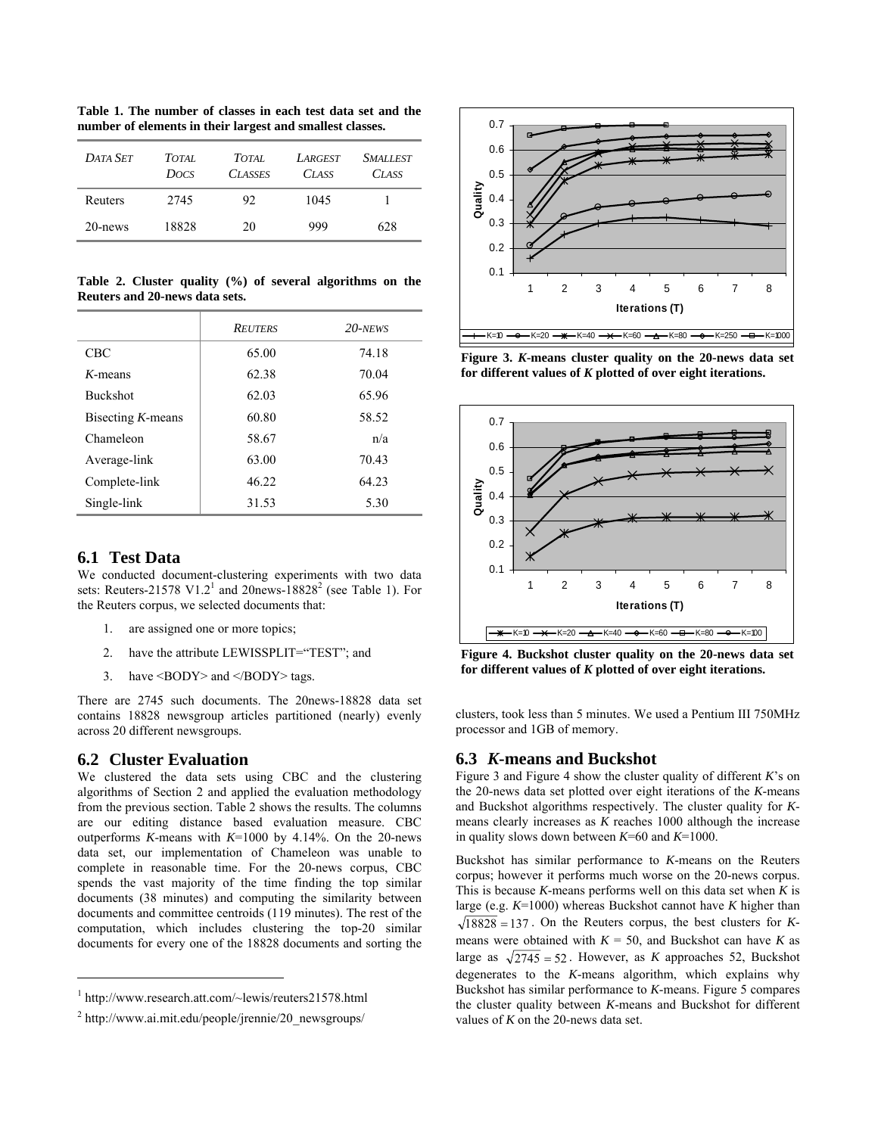| Data Set | TOTAL<br><b>Docs</b> | TOTAL<br><b>CLASSES</b> | LARGEST<br><i>CLASS</i> | <b>SMALLEST</b><br><i>CLASS</i> |
|----------|----------------------|-------------------------|-------------------------|---------------------------------|
| Reuters  | 2745                 | 92                      | 1045                    |                                 |
| 20-news  | 18828                | 20                      | 999                     | 628                             |

**Table 1. The number of classes in each test data set and the number of elements in their largest and smallest classes.** 

**Table 2. Cluster quality (%) of several algorithms on the Reuters and 20-news data sets.** 

|                      | <b>REUTERS</b> | $20$ -NEWS |
|----------------------|----------------|------------|
| <b>CBC</b>           | 65.00          | 74.18      |
| $K$ -means           | 62.38          | 70.04      |
| <b>Buckshot</b>      | 62.03          | 65.96      |
| Bisecting $K$ -means | 60.80          | 58.52      |
| Chameleon            | 58.67          | n/a        |
| Average-link         | 63.00          | 70.43      |
| Complete-link        | 46.22          | 64.23      |
| Single-link          | 31.53          | 5.30       |

## **6.1 Test Data**

We conducted document-clustering experiments with two data sets: Reuters-21578 V1.2<sup>1</sup> and 20news-18828<sup>2</sup> (see Table 1). For the Reuters corpus, we selected documents that:

- 1. are assigned one or more topics;
- 2. have the attribute LEWISSPLIT="TEST"; and
- 3. have <BODY> and </BODY> tags.

There are 2745 such documents. The 20news-18828 data set contains 18828 newsgroup articles partitioned (nearly) evenly across 20 different newsgroups.

# **6.2 Cluster Evaluation**

 $\overline{a}$ 

We clustered the data sets using CBC and the clustering algorithms of Section 2 and applied the evaluation methodology from the previous section. Table 2 shows the results. The columns are our editing distance based evaluation measure. CBC outperforms *K*-means with *K*=1000 by 4.14%. On the 20-news data set, our implementation of Chameleon was unable to complete in reasonable time. For the 20-news corpus, CBC spends the vast majority of the time finding the top similar documents (38 minutes) and computing the similarity between documents and committee centroids (119 minutes). The rest of the computation, which includes clustering the top-20 similar documents for every one of the 18828 documents and sorting the



**Figure 3.** *K***-means cluster quality on the 20-news data set for different values of** *K* **plotted of over eight iterations.** 



**Figure 4. Buckshot cluster quality on the 20-news data set for different values of** *K* **plotted of over eight iterations.** 

clusters, took less than 5 minutes. We used a Pentium III 750MHz processor and 1GB of memory.

#### **6.3** *K***-means and Buckshot**

Figure 3 and Figure 4 show the cluster quality of different  $K$ 's on the 20-news data set plotted over eight iterations of the *K*-means and Buckshot algorithms respectively. The cluster quality for *K*means clearly increases as *K* reaches 1000 although the increase in quality slows down between *K*=60 and *K*=1000.

Buckshot has similar performance to *K*-means on the Reuters corpus; however it performs much worse on the 20-news corpus. This is because *K*-means performs well on this data set when *K* is large (e.g. *K*=1000) whereas Buckshot cannot have *K* higher than  $\sqrt{18828}$  = 137. On the Reuters corpus, the best clusters for *K*means were obtained with  $K = 50$ , and Buckshot can have *K* as large as  $\sqrt{2745}$  = 52. However, as *K* approaches 52, Buckshot degenerates to the *K*-means algorithm, which explains why Buckshot has similar performance to *K*-means. Figure 5 compares the cluster quality between *K*-means and Buckshot for different values of *K* on the 20-news data set.

<sup>1</sup> http://www.research.att.com/~lewis/reuters21578.html

<sup>&</sup>lt;sup>2</sup> http://www.ai.mit.edu/people/jrennie/20\_newsgroups/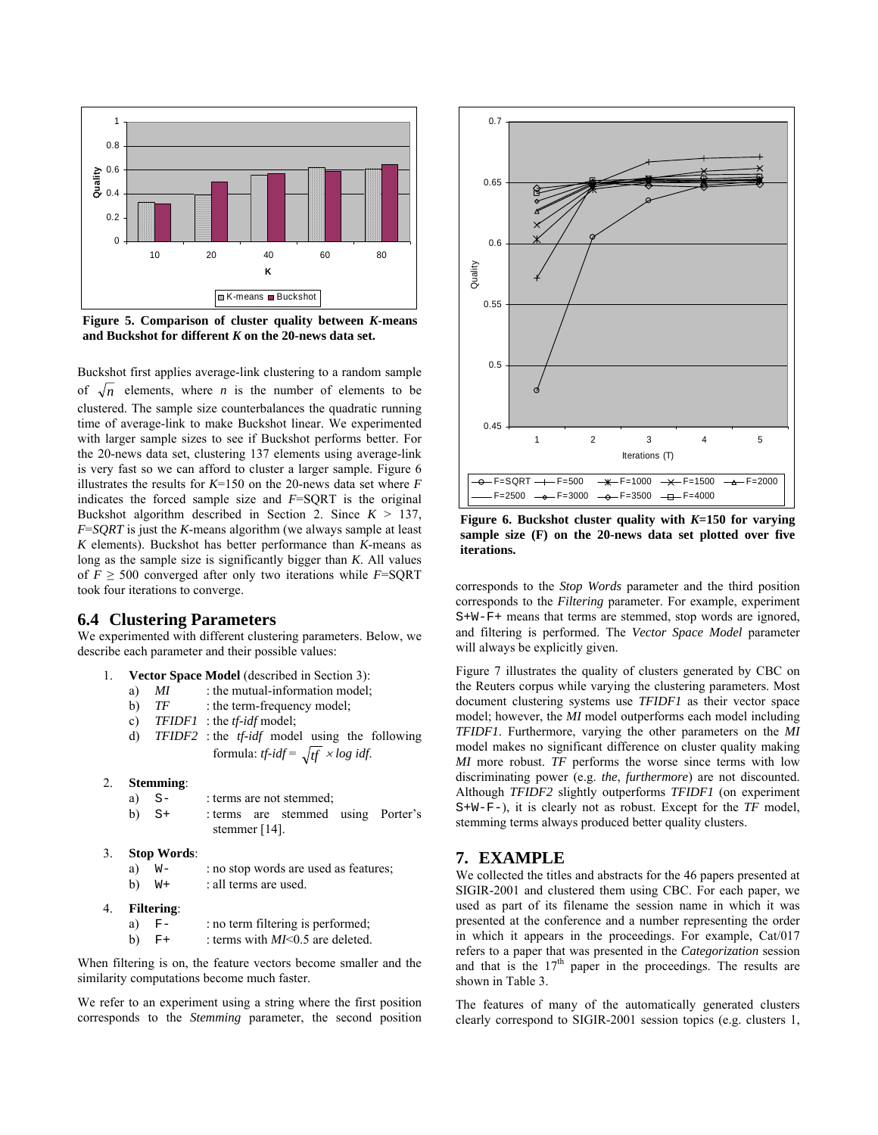

**Figure 5. Comparison of cluster quality between** *K***-means and Buckshot for different** *K* **on the 20-news data set.** 

Buckshot first applies average-link clustering to a random sample of  $\sqrt{n}$  elements, where *n* is the number of elements to be clustered. The sample size counterbalances the quadratic running time of average-link to make Buckshot linear. We experimented with larger sample sizes to see if Buckshot performs better. For the 20-news data set, clustering 137 elements using average-link is very fast so we can afford to cluster a larger sample. Figure 6 illustrates the results for *K*=150 on the 20-news data set where *F* indicates the forced sample size and *F*=SQRT is the original Buckshot algorithm described in Section 2. Since  $K > 137$ , *F*=*SQRT* is just the *K*-means algorithm (we always sample at least *K* elements). Buckshot has better performance than *K*-means as long as the sample size is significantly bigger than *K*. All values of  $F \geq 500$  converged after only two iterations while  $F = SQRT$ took four iterations to converge.

## **6.4 Clustering Parameters**

We experimented with different clustering parameters. Below, we describe each parameter and their possible values:

| 1. | Vector Space Model (described in Section 3): |                      |                                                              |  |  |
|----|----------------------------------------------|----------------------|--------------------------------------------------------------|--|--|
|    | a)                                           |                      | <i>MI</i> : the mutual-information model;                    |  |  |
|    |                                              |                      | b) $TF$ : the term-frequency model;                          |  |  |
|    |                                              |                      | c) $TFIDF1$ : the <i>tf-idf</i> model;                       |  |  |
|    |                                              |                      | d) $TFIDF2$ : the <i>tf-idf</i> model using the following    |  |  |
|    |                                              |                      | formula: tf-idf = $\sqrt{tf} \times \log idf$ .              |  |  |
|    |                                              | 2. <b>Stemming</b> : |                                                              |  |  |
|    |                                              |                      | a) S- : terms are not stemmed;                               |  |  |
|    |                                              |                      | b) S+ : terms are stemmed using Porter's<br>stemmer $[14]$ . |  |  |
|    | 3. Stop Words:                               |                      |                                                              |  |  |
|    |                                              |                      | a) $W-$ : no stop words are used as features;                |  |  |
|    |                                              |                      | b) $W^+$ : all terms are used.                               |  |  |
|    | 4. Filtering:                                |                      |                                                              |  |  |

| a) | $F -$   | : no term filtering is performed;  |
|----|---------|------------------------------------|
|    | b) $F+$ | : terms with $MI<0.5$ are deleted. |

When filtering is on, the feature vectors become smaller and the similarity computations become much faster.

We refer to an experiment using a string where the first position corresponds to the *Stemming* parameter, the second position



**Figure 6. Buckshot cluster quality with** *K***=150 for varying sample size (F) on the 20-news data set plotted over five iterations.** 

corresponds to the *Stop Words* parameter and the third position corresponds to the *Filtering* parameter. For example, experiment S+W-F+ means that terms are stemmed, stop words are ignored, and filtering is performed. The *Vector Space Model* parameter will always be explicitly given.

Figure 7 illustrates the quality of clusters generated by CBC on the Reuters corpus while varying the clustering parameters. Most document clustering systems use *TFIDF1* as their vector space model; however, the *MI* model outperforms each model including *TFIDF1*. Furthermore, varying the other parameters on the *MI* model makes no significant difference on cluster quality making *MI* more robust. *TF* performs the worse since terms with low discriminating power (e.g. *the*, *furthermore*) are not discounted. Although *TFIDF2* slightly outperforms *TFIDF1* (on experiment S+W-F-), it is clearly not as robust. Except for the *TF* model, stemming terms always produced better quality clusters.

# **7. EXAMPLE**

We collected the titles and abstracts for the 46 papers presented at SIGIR-2001 and clustered them using CBC. For each paper, we used as part of its filename the session name in which it was presented at the conference and a number representing the order in which it appears in the proceedings. For example, Cat/017 refers to a paper that was presented in the *Categorization* session and that is the 17<sup>th</sup> paper in the proceedings. The results are shown in Table 3.

The features of many of the automatically generated clusters clearly correspond to SIGIR-2001 session topics (e.g. clusters 1,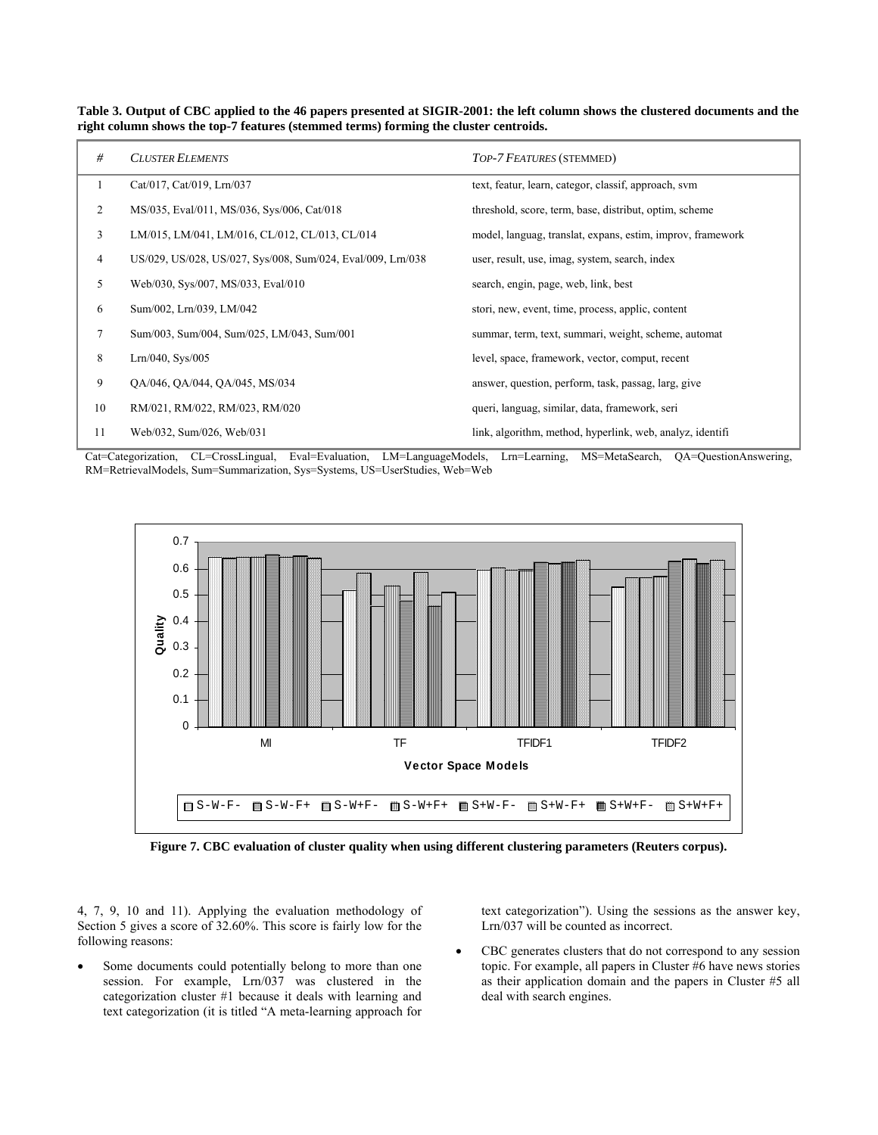**Table 3. Output of CBC applied to the 46 papers presented at SIGIR-2001: the left column shows the clustered documents and the right column shows the top-7 features (stemmed terms) forming the cluster centroids.** 

| #  | <b>CLUSTER ELEMENTS</b>                                     | TOP-7 FEATURES (STEMMED)                                   |
|----|-------------------------------------------------------------|------------------------------------------------------------|
| 1  | Cat/017, Cat/019, Lrn/037                                   | text, featur, learn, categor, classif, approach, svm       |
| 2  | MS/035, Eval/011, MS/036, Sys/006, Cat/018                  | threshold, score, term, base, distribut, optim, scheme     |
| 3  | LM/015, LM/041, LM/016, CL/012, CL/013, CL/014              | model, languag, translat, expans, estim, improv, framework |
| 4  | US/029, US/028, US/027, Sys/008, Sum/024, Eval/009, Lrn/038 | user, result, use, imag, system, search, index             |
| 5  | Web/030, Sys/007, MS/033, Eval/010                          | search, engin, page, web, link, best                       |
| 6  | Sum/002, Lrn/039, LM/042                                    | stori, new, event, time, process, applic, content          |
| 7  | Sum/003, Sum/004, Sum/025, LM/043, Sum/001                  | summar, term, text, summari, weight, scheme, automat       |
| 8  | $Lrn/040$ , $Sys/005$                                       | level, space, framework, vector, comput, recent            |
| 9  | QA/046, QA/044, QA/045, MS/034                              | answer, question, perform, task, passag, larg, give        |
| 10 | RM/021, RM/022, RM/023, RM/020                              | queri, languag, similar, data, framework, seri             |
| 11 | Web/032, Sum/026, Web/031                                   | link, algorithm, method, hyperlink, web, analyz, identifi  |

Cat=Categorization, CL=CrossLingual, Eval=Evaluation, LM=LanguageModels, Lrn=Learning, MS=MetaSearch, QA=QuestionAnswering, RM=RetrievalModels, Sum=Summarization, Sys=Systems, US=UserStudies, Web=Web



**Figure 7. CBC evaluation of cluster quality when using different clustering parameters (Reuters corpus).** 

4, 7, 9, 10 and 11). Applying the evaluation methodology of Section 5 gives a score of 32.60%. This score is fairly low for the following reasons:

Some documents could potentially belong to more than one session. For example, Lrn/037 was clustered in the categorization cluster #1 because it deals with learning and text categorization (it is titled "A meta-learning approach for

text categorization"). Using the sessions as the answer key, Lrn/037 will be counted as incorrect.

• CBC generates clusters that do not correspond to any session topic. For example, all papers in Cluster #6 have news stories as their application domain and the papers in Cluster #5 all deal with search engines.